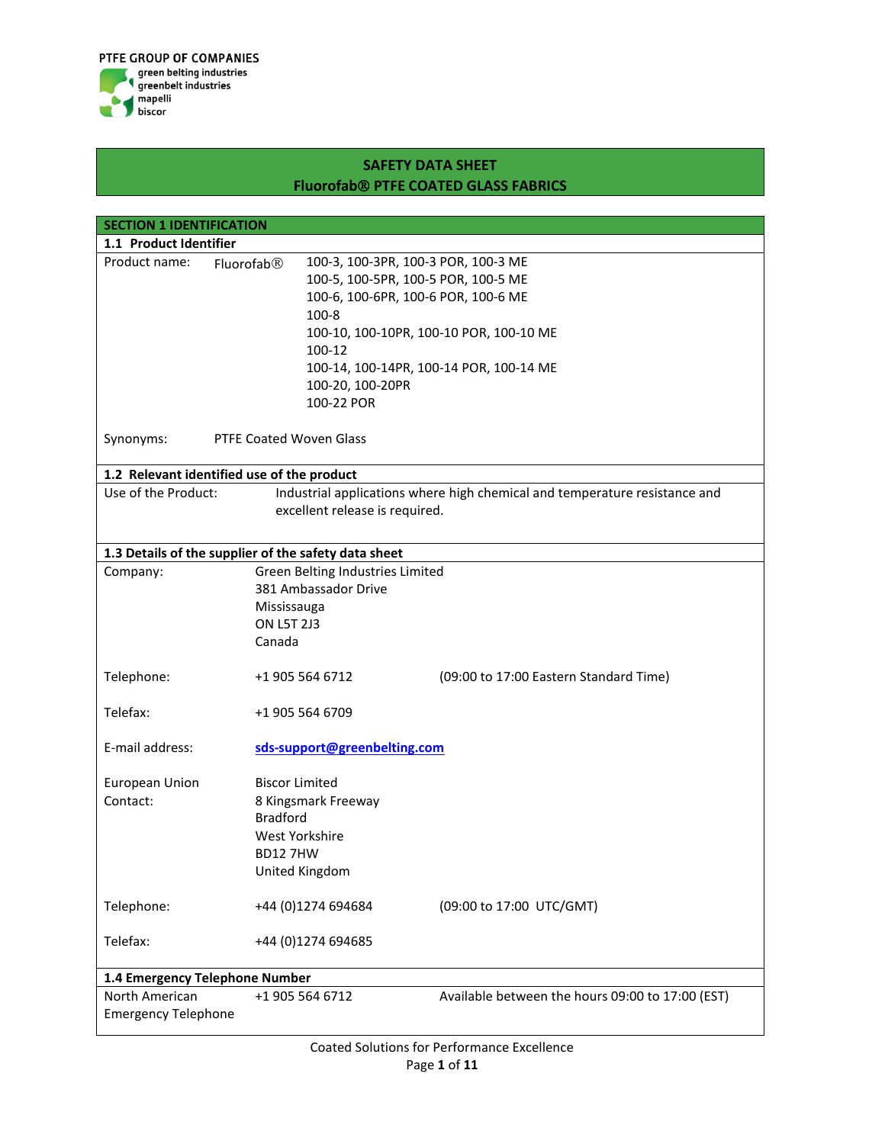

| <b>SECTION 1 IDENTIFICATION</b>              |                                                      |                                                                            |  |
|----------------------------------------------|------------------------------------------------------|----------------------------------------------------------------------------|--|
| 1.1 Product Identifier                       |                                                      |                                                                            |  |
| Product name:<br>Fluorofab <sup>®</sup>      | 100-3, 100-3PR, 100-3 POR, 100-3 ME                  |                                                                            |  |
|                                              | 100-5, 100-5PR, 100-5 POR, 100-5 ME                  |                                                                            |  |
|                                              | 100-6, 100-6PR, 100-6 POR, 100-6 ME                  |                                                                            |  |
|                                              | $100 - 8$                                            |                                                                            |  |
|                                              |                                                      | 100-10, 100-10PR, 100-10 POR, 100-10 ME                                    |  |
|                                              | 100-12                                               |                                                                            |  |
|                                              |                                                      | 100-14, 100-14PR, 100-14 POR, 100-14 ME                                    |  |
|                                              | 100-20, 100-20PR                                     |                                                                            |  |
|                                              | 100-22 POR                                           |                                                                            |  |
| Synonyms:                                    | <b>PTFE Coated Woven Glass</b>                       |                                                                            |  |
| 1.2 Relevant identified use of the product   |                                                      |                                                                            |  |
| Use of the Product:                          |                                                      | Industrial applications where high chemical and temperature resistance and |  |
|                                              | excellent release is required.                       |                                                                            |  |
|                                              |                                                      |                                                                            |  |
|                                              | 1.3 Details of the supplier of the safety data sheet |                                                                            |  |
| Company:                                     | Green Belting Industries Limited                     |                                                                            |  |
|                                              | 381 Ambassador Drive                                 |                                                                            |  |
|                                              | Mississauga                                          |                                                                            |  |
|                                              | <b>ON L5T 2J3</b>                                    |                                                                            |  |
|                                              | Canada                                               |                                                                            |  |
| Telephone:                                   | +1 905 564 6712                                      | (09:00 to 17:00 Eastern Standard Time)                                     |  |
| Telefax:                                     | +1 905 564 6709                                      |                                                                            |  |
| E-mail address:                              | sds-support@greenbelting.com                         |                                                                            |  |
| European Union                               | <b>Biscor Limited</b>                                |                                                                            |  |
| Contact:                                     | 8 Kingsmark Freeway                                  |                                                                            |  |
|                                              | <b>Bradford</b>                                      |                                                                            |  |
|                                              | West Yorkshire                                       |                                                                            |  |
|                                              | <b>BD127HW</b>                                       |                                                                            |  |
|                                              | United Kingdom                                       |                                                                            |  |
| Telephone:                                   | +44 (0)1274 694684                                   | (09:00 to 17:00 UTC/GMT)                                                   |  |
| Telefax:                                     | +44 (0)1274 694685                                   |                                                                            |  |
| 1.4 Emergency Telephone Number               |                                                      |                                                                            |  |
| North American<br><b>Emergency Telephone</b> | +1 905 564 6712                                      | Available between the hours 09:00 to 17:00 (EST)                           |  |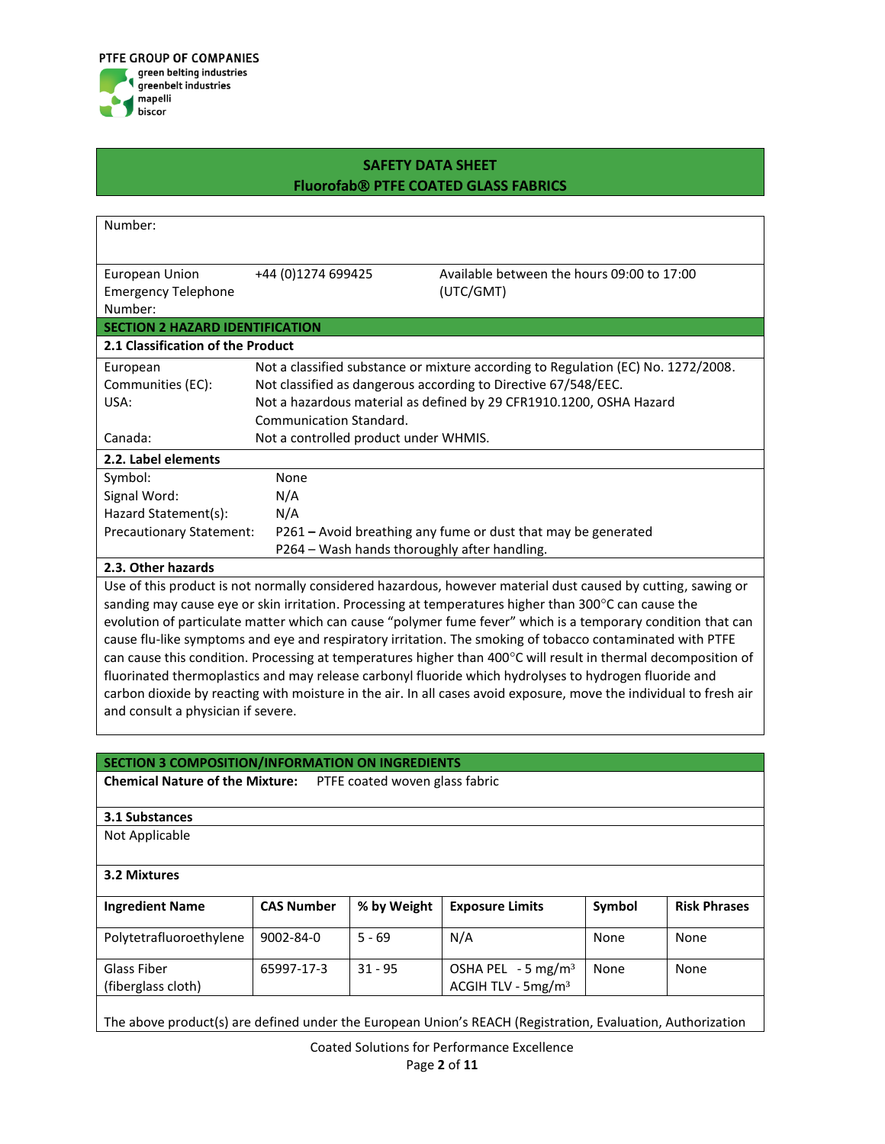

| Number:                                                                                                            |                                                         |                                                                                                                 |  |
|--------------------------------------------------------------------------------------------------------------------|---------------------------------------------------------|-----------------------------------------------------------------------------------------------------------------|--|
|                                                                                                                    |                                                         |                                                                                                                 |  |
| <b>European Union</b>                                                                                              | +44 (0)1274 699425                                      | Available between the hours 09:00 to 17:00                                                                      |  |
| <b>Emergency Telephone</b>                                                                                         |                                                         | (UTC/GMT)                                                                                                       |  |
| Number:                                                                                                            |                                                         |                                                                                                                 |  |
| <b>SECTION 2 HAZARD IDENTIFICATION</b>                                                                             |                                                         |                                                                                                                 |  |
| 2.1 Classification of the Product                                                                                  |                                                         |                                                                                                                 |  |
| European                                                                                                           |                                                         | Not a classified substance or mixture according to Regulation (EC) No. 1272/2008.                               |  |
| Communities (EC):                                                                                                  |                                                         | Not classified as dangerous according to Directive 67/548/EEC.                                                  |  |
| USA:                                                                                                               |                                                         | Not a hazardous material as defined by 29 CFR1910.1200, OSHA Hazard                                             |  |
|                                                                                                                    | Communication Standard.                                 |                                                                                                                 |  |
| Canada:                                                                                                            | Not a controlled product under WHMIS.                   |                                                                                                                 |  |
| 2.2. Label elements                                                                                                |                                                         |                                                                                                                 |  |
| Symbol:                                                                                                            | None                                                    |                                                                                                                 |  |
| Signal Word:                                                                                                       | N/A                                                     |                                                                                                                 |  |
| Hazard Statement(s):                                                                                               | N/A                                                     |                                                                                                                 |  |
| <b>Precautionary Statement:</b>                                                                                    |                                                         | P261 – Avoid breathing any fume or dust that may be generated                                                   |  |
|                                                                                                                    | P264 - Wash hands thoroughly after handling.            |                                                                                                                 |  |
| 2.3. Other hazards                                                                                                 |                                                         |                                                                                                                 |  |
|                                                                                                                    |                                                         | Use of this product is not normally considered hazardous, however material dust caused by cutting, sawing or    |  |
|                                                                                                                    |                                                         | sanding may cause eye or skin irritation. Processing at temperatures higher than 300 $^{\circ}$ C can cause the |  |
|                                                                                                                    |                                                         | evolution of particulate matter which can cause "polymer fume fever" which is a temporary condition that can    |  |
| cause flu-like symptoms and eye and respiratory irritation. The smoking of tobacco contaminated with PTFE          |                                                         |                                                                                                                 |  |
| can cause this condition. Processing at temperatures higher than 400°C will result in thermal decomposition of     |                                                         |                                                                                                                 |  |
| fluorinated thermoplastics and may release carbonyl fluoride which hydrolyses to hydrogen fluoride and             |                                                         |                                                                                                                 |  |
| carbon dioxide by reacting with moisture in the air. In all cases avoid exposure, move the individual to fresh air |                                                         |                                                                                                                 |  |
| and consult a physician if severe.                                                                                 |                                                         |                                                                                                                 |  |
|                                                                                                                    |                                                         |                                                                                                                 |  |
|                                                                                                                    | <b>SECTION 3 COMPOSITION/INFORMATION ON INGREDIENTS</b> |                                                                                                                 |  |

**Chemical Nature of the Mixture:** PTFE coated woven glass fabric

### **3.1 Substances**

Not Applicable

| 3.2 Mixtures                      |                   |             |                                                         |        |                     |
|-----------------------------------|-------------------|-------------|---------------------------------------------------------|--------|---------------------|
| <b>Ingredient Name</b>            | <b>CAS Number</b> | % by Weight | <b>Exposure Limits</b>                                  | Symbol | <b>Risk Phrases</b> |
| Polytetrafluoroethylene           | $9002 - 84 - 0$   | $5 - 69$    | N/A                                                     | None   | None                |
| Glass Fiber<br>(fiberglass cloth) | 65997-17-3        | $31 - 95$   | OSHA PEL $-5$ mg/m <sup>3</sup><br>ACGIH TLV - $5mg/m3$ | None   | None                |

The above product(s) are defined under the European Union's REACH (Registration, Evaluation, Authorization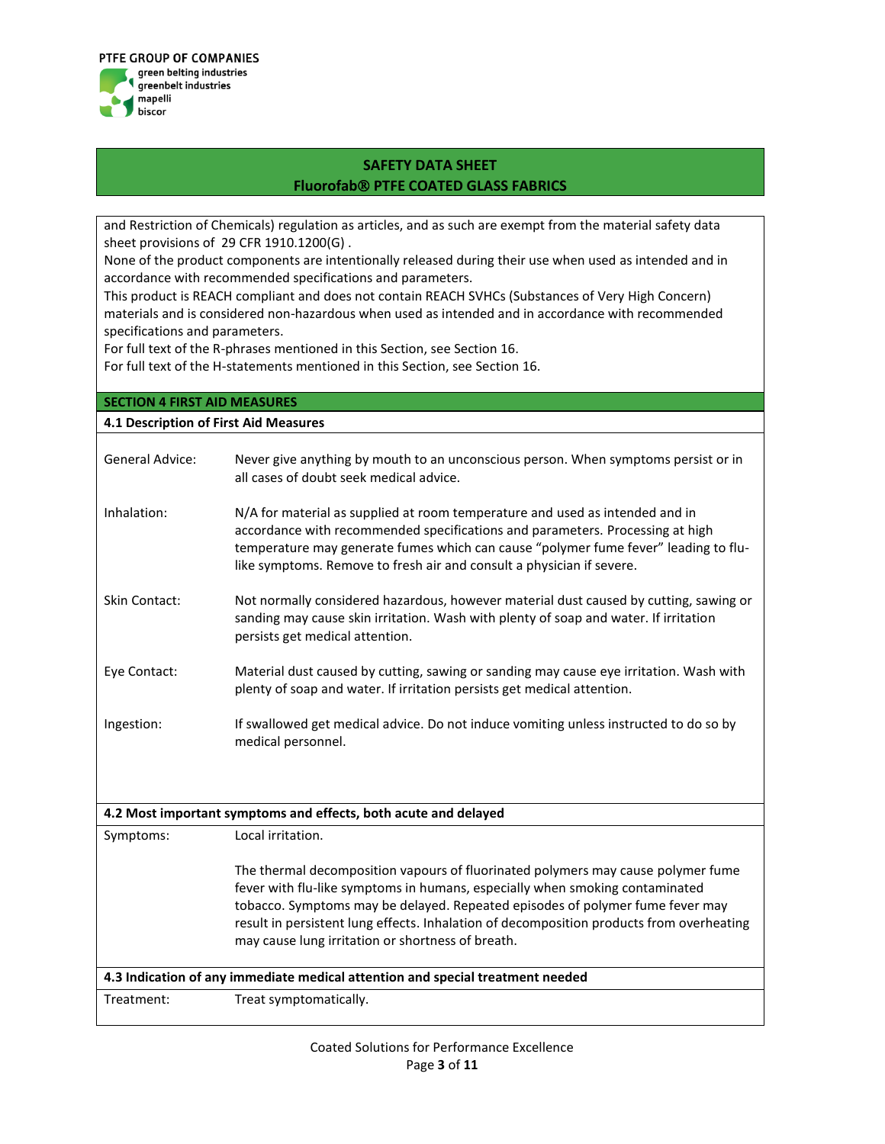

and Restriction of Chemicals) regulation as articles, and as such are exempt from the material safety data sheet provisions of 29 CFR 1910.1200(G) .

None of the product components are intentionally released during their use when used as intended and in accordance with recommended specifications and parameters.

This product is REACH compliant and does not contain REACH SVHCs (Substances of Very High Concern) materials and is considered non-hazardous when used as intended and in accordance with recommended specifications and parameters.

For full text of the R-phrases mentioned in this Section, see Section 16.

For full text of the H-statements mentioned in this Section, see Section 16.

| <b>SECTION 4 FIRST AID MEASURES</b>                                            |                                                                                                                                                                                                                                                                                                                                                                                                    |  |  |
|--------------------------------------------------------------------------------|----------------------------------------------------------------------------------------------------------------------------------------------------------------------------------------------------------------------------------------------------------------------------------------------------------------------------------------------------------------------------------------------------|--|--|
| 4.1 Description of First Aid Measures                                          |                                                                                                                                                                                                                                                                                                                                                                                                    |  |  |
| <b>General Advice:</b>                                                         | Never give anything by mouth to an unconscious person. When symptoms persist or in<br>all cases of doubt seek medical advice.                                                                                                                                                                                                                                                                      |  |  |
| Inhalation:                                                                    | N/A for material as supplied at room temperature and used as intended and in<br>accordance with recommended specifications and parameters. Processing at high<br>temperature may generate fumes which can cause "polymer fume fever" leading to flu-<br>like symptoms. Remove to fresh air and consult a physician if severe.                                                                      |  |  |
| Skin Contact:                                                                  | Not normally considered hazardous, however material dust caused by cutting, sawing or<br>sanding may cause skin irritation. Wash with plenty of soap and water. If irritation<br>persists get medical attention.                                                                                                                                                                                   |  |  |
| Eye Contact:                                                                   | Material dust caused by cutting, sawing or sanding may cause eye irritation. Wash with<br>plenty of soap and water. If irritation persists get medical attention.                                                                                                                                                                                                                                  |  |  |
| Ingestion:                                                                     | If swallowed get medical advice. Do not induce vomiting unless instructed to do so by<br>medical personnel.                                                                                                                                                                                                                                                                                        |  |  |
|                                                                                |                                                                                                                                                                                                                                                                                                                                                                                                    |  |  |
|                                                                                | 4.2 Most important symptoms and effects, both acute and delayed                                                                                                                                                                                                                                                                                                                                    |  |  |
| Symptoms:                                                                      | Local irritation.                                                                                                                                                                                                                                                                                                                                                                                  |  |  |
|                                                                                | The thermal decomposition vapours of fluorinated polymers may cause polymer fume<br>fever with flu-like symptoms in humans, especially when smoking contaminated<br>tobacco. Symptoms may be delayed. Repeated episodes of polymer fume fever may<br>result in persistent lung effects. Inhalation of decomposition products from overheating<br>may cause lung irritation or shortness of breath. |  |  |
| 4.3 Indication of any immediate medical attention and special treatment needed |                                                                                                                                                                                                                                                                                                                                                                                                    |  |  |
| Treatment:                                                                     | Treat symptomatically.                                                                                                                                                                                                                                                                                                                                                                             |  |  |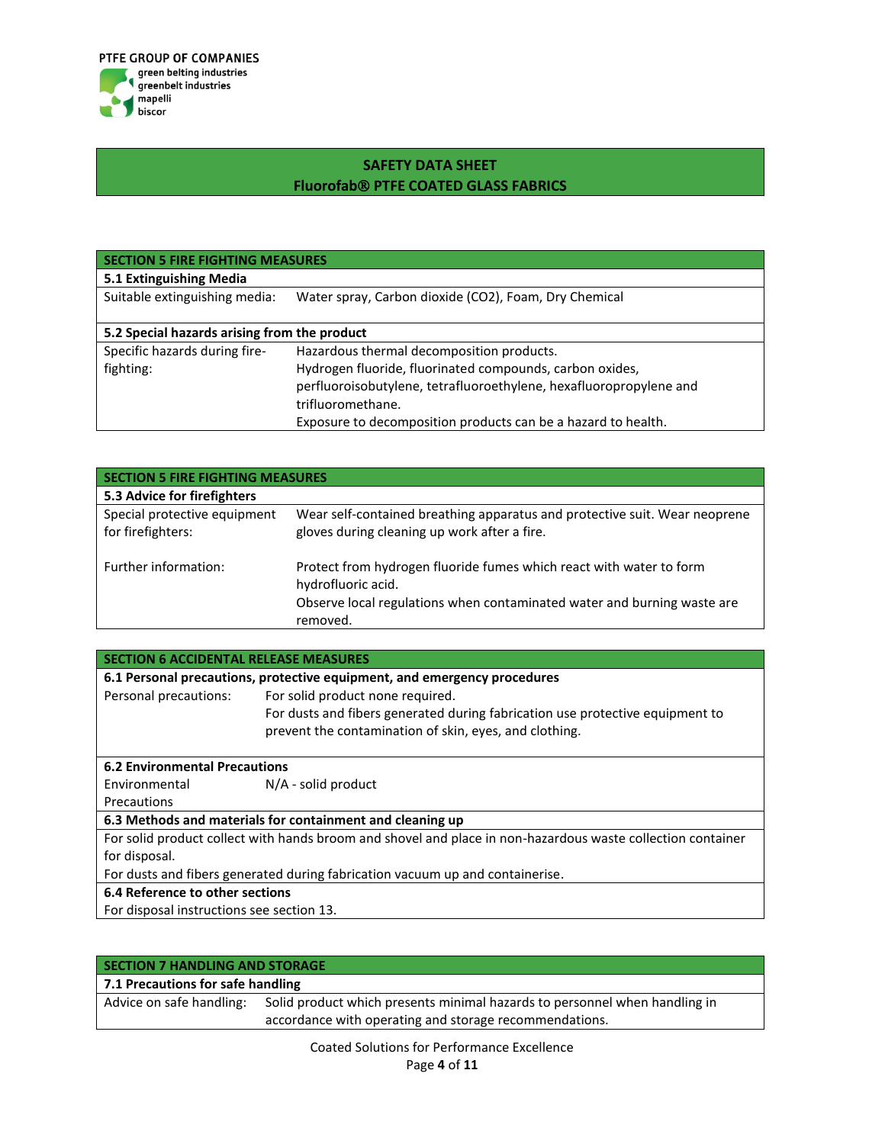

| <b>SECTION 5 FIRE FIGHTING MEASURES</b>      |                                                                    |  |
|----------------------------------------------|--------------------------------------------------------------------|--|
| 5.1 Extinguishing Media                      |                                                                    |  |
| Suitable extinguishing media:                | Water spray, Carbon dioxide (CO2), Foam, Dry Chemical              |  |
| 5.2 Special hazards arising from the product |                                                                    |  |
| Specific hazards during fire-                | Hazardous thermal decomposition products.                          |  |
| fighting:                                    | Hydrogen fluoride, fluorinated compounds, carbon oxides,           |  |
|                                              | perfluoroisobutylene, tetrafluoroethylene, hexafluoropropylene and |  |
|                                              | trifluoromethane.                                                  |  |
|                                              | Exposure to decomposition products can be a hazard to health.      |  |

| <b>SECTION 5 FIRE FIGHTING MEASURES</b>           |                                                                                                                                                                                  |  |
|---------------------------------------------------|----------------------------------------------------------------------------------------------------------------------------------------------------------------------------------|--|
| 5.3 Advice for firefighters                       |                                                                                                                                                                                  |  |
| Special protective equipment<br>for firefighters: | Wear self-contained breathing apparatus and protective suit. Wear neoprene<br>gloves during cleaning up work after a fire.                                                       |  |
| Further information:                              | Protect from hydrogen fluoride fumes which react with water to form<br>hydrofluoric acid.<br>Observe local regulations when contaminated water and burning waste are<br>removed. |  |

| <b>SECTION 6 ACCIDENTAL RELEASE MEASURES</b>                                                                |                                                                               |  |  |
|-------------------------------------------------------------------------------------------------------------|-------------------------------------------------------------------------------|--|--|
| 6.1 Personal precautions, protective equipment, and emergency procedures                                    |                                                                               |  |  |
| Personal precautions:                                                                                       | For solid product none required.                                              |  |  |
|                                                                                                             | For dusts and fibers generated during fabrication use protective equipment to |  |  |
|                                                                                                             | prevent the contamination of skin, eyes, and clothing.                        |  |  |
| <b>6.2 Environmental Precautions</b>                                                                        |                                                                               |  |  |
| Environmental                                                                                               | $N/A$ - solid product                                                         |  |  |
| Precautions                                                                                                 |                                                                               |  |  |
| 6.3 Methods and materials for containment and cleaning up                                                   |                                                                               |  |  |
| For solid product collect with hands broom and shovel and place in non-hazardous waste collection container |                                                                               |  |  |
| for disposal.                                                                                               |                                                                               |  |  |
| For dusts and fibers generated during fabrication vacuum up and containerise.                               |                                                                               |  |  |
| 6.4 Reference to other sections                                                                             |                                                                               |  |  |
| For disposal instructions see section 13.                                                                   |                                                                               |  |  |

| <b>SECTION 7 HANDLING AND STORAGE</b> |                                                                            |  |
|---------------------------------------|----------------------------------------------------------------------------|--|
| 7.1 Precautions for safe handling     |                                                                            |  |
| Advice on safe handling:              | Solid product which presents minimal hazards to personnel when handling in |  |
|                                       | accordance with operating and storage recommendations.                     |  |
|                                       | .                                                                          |  |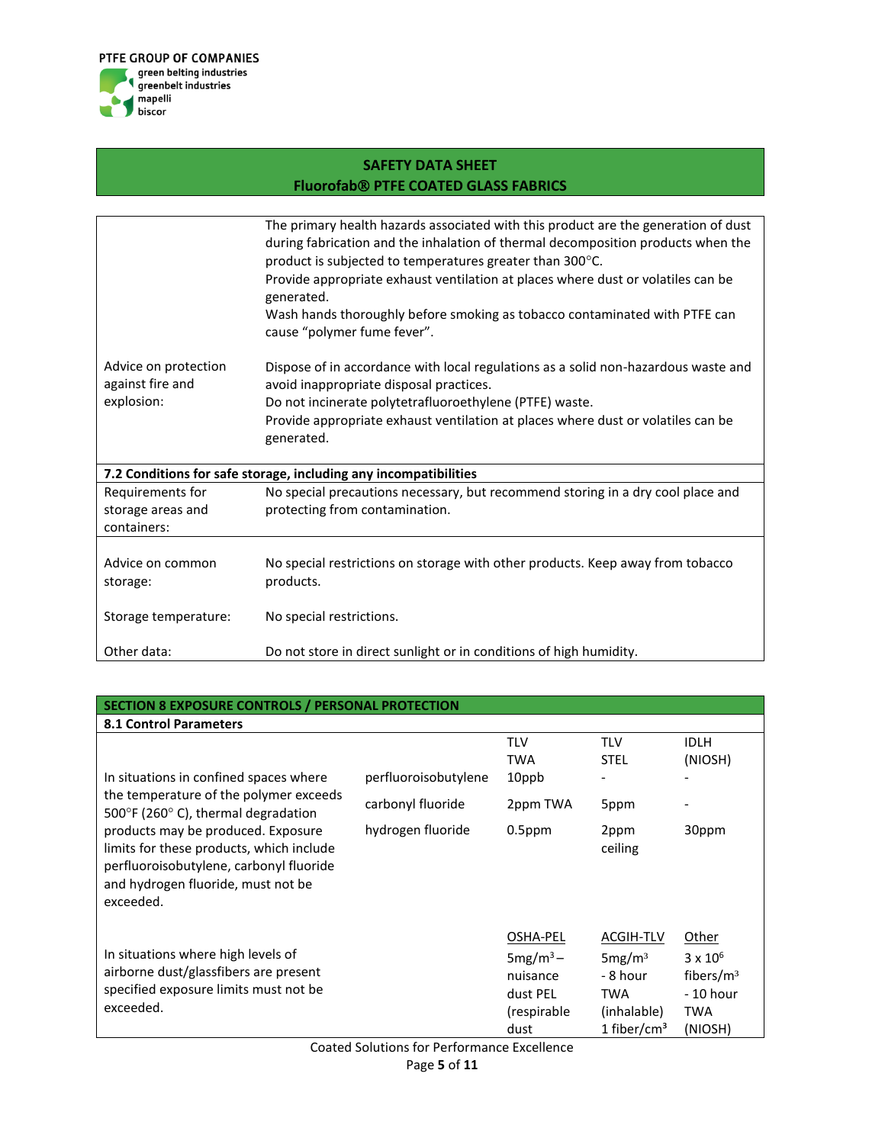

|                                                        | The primary health hazards associated with this product are the generation of dust<br>during fabrication and the inhalation of thermal decomposition products when the<br>product is subjected to temperatures greater than $300^{\circ}$ C.<br>Provide appropriate exhaust ventilation at places where dust or volatiles can be<br>generated.<br>Wash hands thoroughly before smoking as tobacco contaminated with PTFE can<br>cause "polymer fume fever". |
|--------------------------------------------------------|-------------------------------------------------------------------------------------------------------------------------------------------------------------------------------------------------------------------------------------------------------------------------------------------------------------------------------------------------------------------------------------------------------------------------------------------------------------|
| Advice on protection<br>against fire and<br>explosion: | Dispose of in accordance with local regulations as a solid non-hazardous waste and<br>avoid inappropriate disposal practices.<br>Do not incinerate polytetrafluoroethylene (PTFE) waste.<br>Provide appropriate exhaust ventilation at places where dust or volatiles can be<br>generated.                                                                                                                                                                  |
|                                                        | 7.2 Conditions for safe storage, including any incompatibilities                                                                                                                                                                                                                                                                                                                                                                                            |
| Requirements for<br>storage areas and<br>containers:   | No special precautions necessary, but recommend storing in a dry cool place and<br>protecting from contamination.                                                                                                                                                                                                                                                                                                                                           |
| Advice on common<br>storage:                           | No special restrictions on storage with other products. Keep away from tobacco<br>products.                                                                                                                                                                                                                                                                                                                                                                 |
| Storage temperature:                                   | No special restrictions.                                                                                                                                                                                                                                                                                                                                                                                                                                    |
| Other data:                                            | Do not store in direct sunlight or in conditions of high humidity.                                                                                                                                                                                                                                                                                                                                                                                          |

#### **SECTION 8 EXPOSURE CONTROLS / PERSONAL PROTECTION 8.1 Control Parameters** In situations in confined spaces where the temperature of the polymer exceeds 500°F (260°C), thermal degradation products may be produced. Exposure limits for these products, which include perfluoroisobutylene, carbonyl fluoride and hydrogen fluoride, must not be exceeded. TLV TWA TLV STEL IDLH (NIOSH) perfluoroisobutylene 10ppb carbonyl fluoride 2ppm TWA 5ppm hydrogen fluoride 0.5ppm 2ppm ceiling 30ppm In situations where high levels of airborne dust/glassfibers are present specified exposure limits must not be exceeded. OSHA-PEL ACGIH-TLV Other  $5mg/m<sup>3</sup>$ nuisance dust PEL (respirable dust 5mg/m³ - 8 hour TWA (inhalable) 1 fiber/ $\text{cm}^3$  $3 \times 10^6$ fibers/m³ - 10 hour TWA (NIOSH)

Coated Solutions for Performance Excellence Page **5** of **11**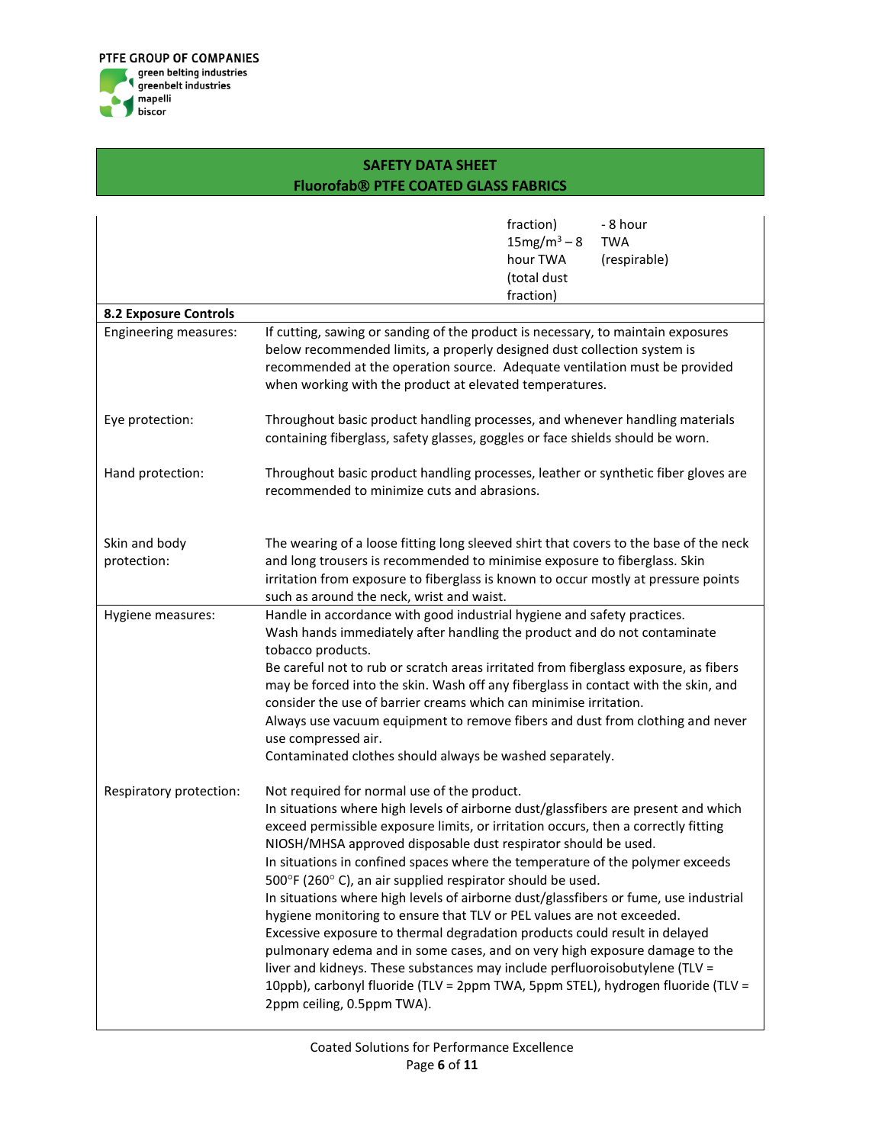

|                              | fraction)<br>- 8 hour<br>$15mg/m^3 - 8$<br><b>TWA</b><br>hour TWA<br>(respirable)<br>(total dust<br>fraction)                                                                                                                                                                                                                                                                                                                                                                                                                                                                                                                                                                                                                                                                                                                                                                                                                                                        |  |
|------------------------------|----------------------------------------------------------------------------------------------------------------------------------------------------------------------------------------------------------------------------------------------------------------------------------------------------------------------------------------------------------------------------------------------------------------------------------------------------------------------------------------------------------------------------------------------------------------------------------------------------------------------------------------------------------------------------------------------------------------------------------------------------------------------------------------------------------------------------------------------------------------------------------------------------------------------------------------------------------------------|--|
| <b>8.2 Exposure Controls</b> |                                                                                                                                                                                                                                                                                                                                                                                                                                                                                                                                                                                                                                                                                                                                                                                                                                                                                                                                                                      |  |
| Engineering measures:        | If cutting, sawing or sanding of the product is necessary, to maintain exposures<br>below recommended limits, a properly designed dust collection system is<br>recommended at the operation source. Adequate ventilation must be provided<br>when working with the product at elevated temperatures.                                                                                                                                                                                                                                                                                                                                                                                                                                                                                                                                                                                                                                                                 |  |
| Eye protection:              | Throughout basic product handling processes, and whenever handling materials<br>containing fiberglass, safety glasses, goggles or face shields should be worn.                                                                                                                                                                                                                                                                                                                                                                                                                                                                                                                                                                                                                                                                                                                                                                                                       |  |
| Hand protection:             | Throughout basic product handling processes, leather or synthetic fiber gloves are<br>recommended to minimize cuts and abrasions.                                                                                                                                                                                                                                                                                                                                                                                                                                                                                                                                                                                                                                                                                                                                                                                                                                    |  |
| Skin and body                | The wearing of a loose fitting long sleeved shirt that covers to the base of the neck                                                                                                                                                                                                                                                                                                                                                                                                                                                                                                                                                                                                                                                                                                                                                                                                                                                                                |  |
| protection:                  | and long trousers is recommended to minimise exposure to fiberglass. Skin<br>irritation from exposure to fiberglass is known to occur mostly at pressure points<br>such as around the neck, wrist and waist.                                                                                                                                                                                                                                                                                                                                                                                                                                                                                                                                                                                                                                                                                                                                                         |  |
| Hygiene measures:            | Handle in accordance with good industrial hygiene and safety practices.<br>Wash hands immediately after handling the product and do not contaminate<br>tobacco products.<br>Be careful not to rub or scratch areas irritated from fiberglass exposure, as fibers<br>may be forced into the skin. Wash off any fiberglass in contact with the skin, and<br>consider the use of barrier creams which can minimise irritation.<br>Always use vacuum equipment to remove fibers and dust from clothing and never<br>use compressed air.<br>Contaminated clothes should always be washed separately.                                                                                                                                                                                                                                                                                                                                                                      |  |
| Respiratory protection:      | Not required for normal use of the product.<br>In situations where high levels of airborne dust/glassfibers are present and which<br>exceed permissible exposure limits, or irritation occurs, then a correctly fitting<br>NIOSH/MHSA approved disposable dust respirator should be used.<br>In situations in confined spaces where the temperature of the polymer exceeds<br>500°F (260°C), an air supplied respirator should be used.<br>In situations where high levels of airborne dust/glassfibers or fume, use industrial<br>hygiene monitoring to ensure that TLV or PEL values are not exceeded.<br>Excessive exposure to thermal degradation products could result in delayed<br>pulmonary edema and in some cases, and on very high exposure damage to the<br>liver and kidneys. These substances may include perfluoroisobutylene (TLV =<br>10ppb), carbonyl fluoride (TLV = 2ppm TWA, 5ppm STEL), hydrogen fluoride (TLV =<br>2ppm ceiling, 0.5ppm TWA). |  |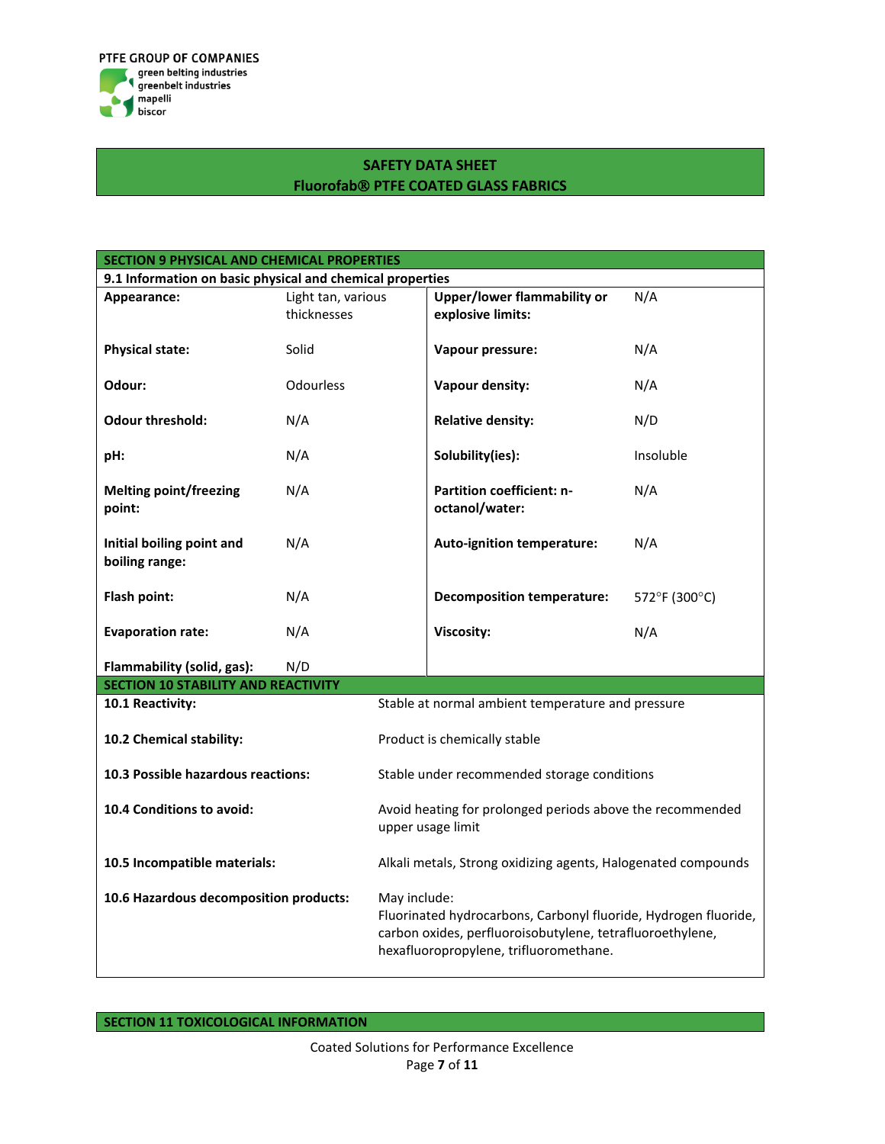

| SECTION 9 PHYSICAL AND CHEMICAL PROPERTIES                |                    |                                                                                |                                                           |               |
|-----------------------------------------------------------|--------------------|--------------------------------------------------------------------------------|-----------------------------------------------------------|---------------|
| 9.1 Information on basic physical and chemical properties |                    |                                                                                |                                                           |               |
| Appearance:                                               | Light tan, various |                                                                                | <b>Upper/lower flammability or</b>                        | N/A           |
|                                                           | thicknesses        |                                                                                | explosive limits:                                         |               |
|                                                           |                    |                                                                                |                                                           |               |
| <b>Physical state:</b>                                    | Solid              |                                                                                | Vapour pressure:                                          | N/A           |
|                                                           |                    |                                                                                |                                                           |               |
| Odour:                                                    | <b>Odourless</b>   |                                                                                | Vapour density:                                           | N/A           |
| <b>Odour threshold:</b>                                   | N/A                |                                                                                | <b>Relative density:</b>                                  | N/D           |
|                                                           |                    |                                                                                |                                                           |               |
| pH:                                                       | N/A                |                                                                                | Solubility(ies):                                          | Insoluble     |
|                                                           |                    |                                                                                |                                                           |               |
| <b>Melting point/freezing</b>                             | N/A                |                                                                                | Partition coefficient: n-                                 | N/A           |
| point:                                                    |                    |                                                                                | octanol/water:                                            |               |
|                                                           |                    |                                                                                |                                                           |               |
| Initial boiling point and                                 | N/A                |                                                                                | Auto-ignition temperature:                                | N/A           |
| boiling range:                                            |                    |                                                                                |                                                           |               |
|                                                           |                    |                                                                                |                                                           |               |
| Flash point:                                              | N/A                |                                                                                | <b>Decomposition temperature:</b>                         | 572°F (300°C) |
| <b>Evaporation rate:</b>                                  | N/A                |                                                                                | Viscosity:                                                | N/A           |
|                                                           |                    |                                                                                |                                                           |               |
| Flammability (solid, gas):                                | N/D                |                                                                                |                                                           |               |
| <b>SECTION 10 STABILITY AND REACTIVITY</b>                |                    |                                                                                |                                                           |               |
| 10.1 Reactivity:                                          |                    |                                                                                | Stable at normal ambient temperature and pressure         |               |
|                                                           |                    |                                                                                |                                                           |               |
| 10.2 Chemical stability:                                  |                    | Product is chemically stable                                                   |                                                           |               |
|                                                           |                    |                                                                                |                                                           |               |
| 10.3 Possible hazardous reactions:                        |                    | Stable under recommended storage conditions                                    |                                                           |               |
|                                                           |                    |                                                                                |                                                           |               |
| 10.4 Conditions to avoid:                                 |                    | Avoid heating for prolonged periods above the recommended<br>upper usage limit |                                                           |               |
|                                                           |                    |                                                                                |                                                           |               |
|                                                           |                    |                                                                                |                                                           |               |
| 10.5 Incompatible materials:                              |                    | Alkali metals, Strong oxidizing agents, Halogenated compounds                  |                                                           |               |
| 10.6 Hazardous decomposition products:                    |                    | May include:                                                                   |                                                           |               |
|                                                           |                    | Fluorinated hydrocarbons, Carbonyl fluoride, Hydrogen fluoride,                |                                                           |               |
|                                                           |                    |                                                                                | carbon oxides, perfluoroisobutylene, tetrafluoroethylene, |               |
|                                                           |                    |                                                                                | hexafluoropropylene, trifluoromethane.                    |               |
|                                                           |                    |                                                                                |                                                           |               |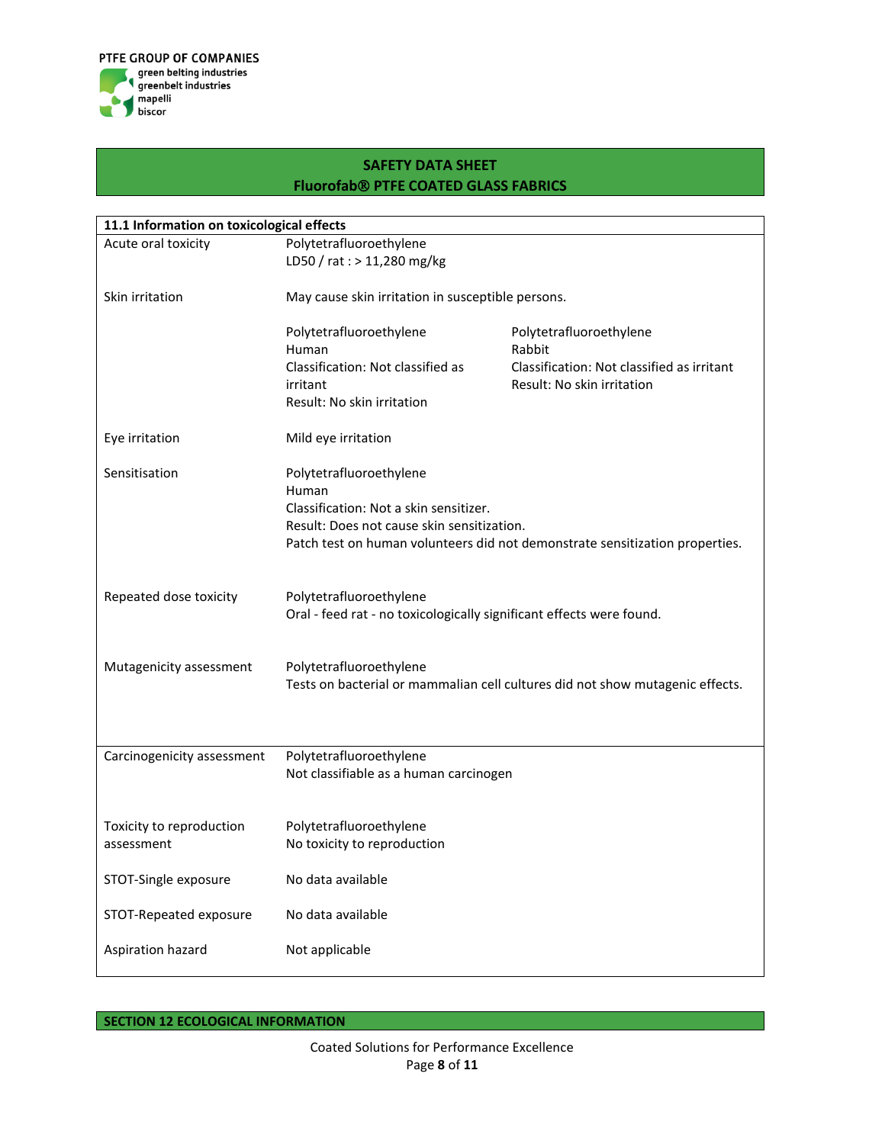

| 11.1 Information on toxicological effects |                                                                      |                                                                               |  |  |
|-------------------------------------------|----------------------------------------------------------------------|-------------------------------------------------------------------------------|--|--|
| Acute oral toxicity                       | Polytetrafluoroethylene                                              |                                                                               |  |  |
|                                           | LD50 / rat : > 11,280 mg/kg                                          |                                                                               |  |  |
|                                           |                                                                      |                                                                               |  |  |
| Skin irritation                           | May cause skin irritation in susceptible persons.                    |                                                                               |  |  |
|                                           |                                                                      |                                                                               |  |  |
|                                           | Polytetrafluoroethylene                                              | Polytetrafluoroethylene                                                       |  |  |
|                                           | Human                                                                | Rabbit                                                                        |  |  |
|                                           | Classification: Not classified as                                    | Classification: Not classified as irritant                                    |  |  |
|                                           | irritant                                                             | Result: No skin irritation                                                    |  |  |
|                                           | Result: No skin irritation                                           |                                                                               |  |  |
| Eye irritation                            | Mild eye irritation                                                  |                                                                               |  |  |
| Sensitisation                             | Polytetrafluoroethylene                                              |                                                                               |  |  |
|                                           | Human                                                                |                                                                               |  |  |
|                                           | Classification: Not a skin sensitizer.                               |                                                                               |  |  |
|                                           | Result: Does not cause skin sensitization.                           |                                                                               |  |  |
|                                           |                                                                      | Patch test on human volunteers did not demonstrate sensitization properties.  |  |  |
|                                           |                                                                      |                                                                               |  |  |
| Repeated dose toxicity                    | Polytetrafluoroethylene                                              |                                                                               |  |  |
|                                           | Oral - feed rat - no toxicologically significant effects were found. |                                                                               |  |  |
|                                           |                                                                      |                                                                               |  |  |
|                                           |                                                                      |                                                                               |  |  |
| Mutagenicity assessment                   | Polytetrafluoroethylene                                              |                                                                               |  |  |
|                                           |                                                                      | Tests on bacterial or mammalian cell cultures did not show mutagenic effects. |  |  |
|                                           |                                                                      |                                                                               |  |  |
|                                           |                                                                      |                                                                               |  |  |
| Carcinogenicity assessment                | Polytetrafluoroethylene                                              |                                                                               |  |  |
|                                           | Not classifiable as a human carcinogen                               |                                                                               |  |  |
|                                           |                                                                      |                                                                               |  |  |
|                                           |                                                                      |                                                                               |  |  |
| Toxicity to reproduction                  | Polytetrafluoroethylene                                              |                                                                               |  |  |
| assessment                                | No toxicity to reproduction                                          |                                                                               |  |  |
|                                           |                                                                      |                                                                               |  |  |
| STOT-Single exposure                      | No data available                                                    |                                                                               |  |  |
|                                           |                                                                      |                                                                               |  |  |
| STOT-Repeated exposure                    | No data available                                                    |                                                                               |  |  |
|                                           |                                                                      |                                                                               |  |  |
| Aspiration hazard                         | Not applicable                                                       |                                                                               |  |  |
|                                           |                                                                      |                                                                               |  |  |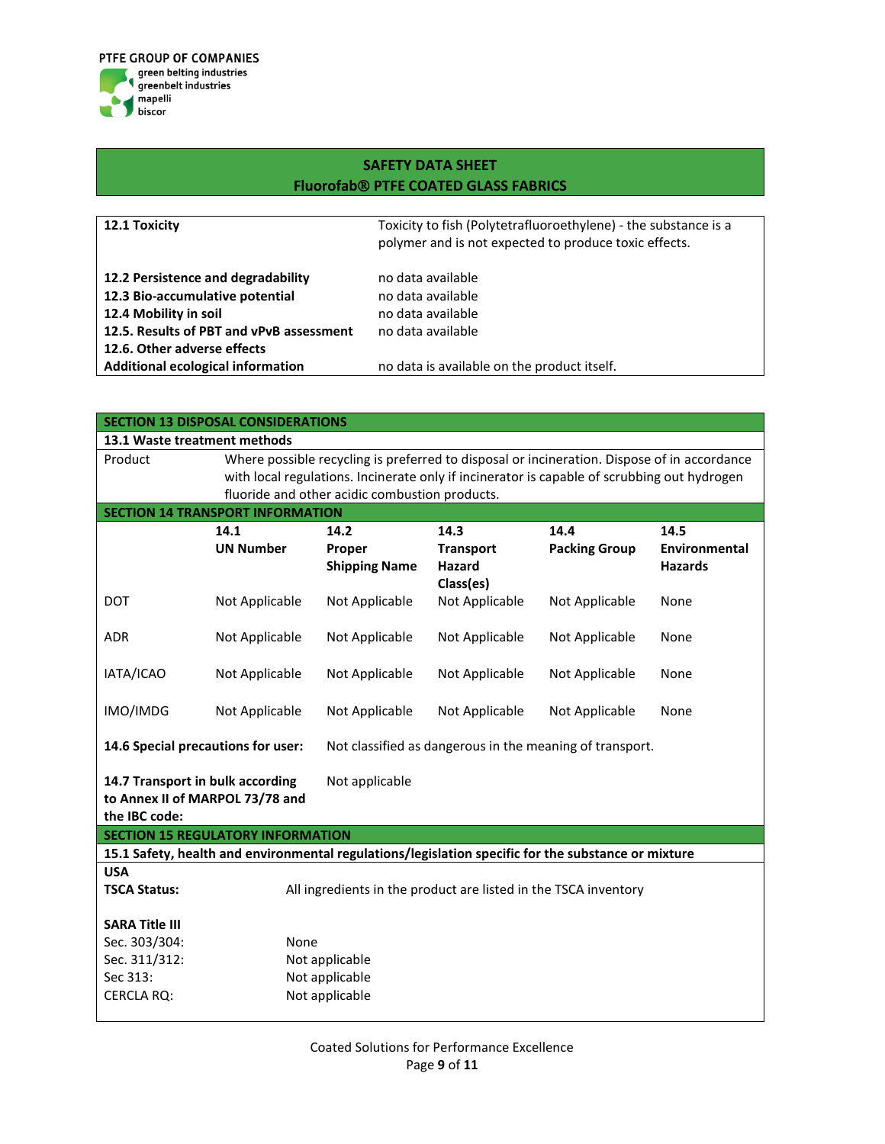

| 12.1 Toxicity                                                                                                | Toxicity to fish (Polytetrafluoroethylene) - the substance is a<br>polymer and is not expected to produce toxic effects. |
|--------------------------------------------------------------------------------------------------------------|--------------------------------------------------------------------------------------------------------------------------|
| 12.2 Persistence and degradability<br>12.3 Bio-accumulative potential<br>12.4 Mobility in soil               | no data available<br>no data available<br>no data available                                                              |
| 12.5. Results of PBT and vPvB assessment<br>12.6. Other adverse effects<br>Additional ecological information | no data available<br>no data is available on the product itself.                                                         |

| <b>SECTION 13 DISPOSAL CONSIDERATIONS</b>                                                              |                                                                                                                                                                                            |                                                                 |                                                          |                      |                                        |  |
|--------------------------------------------------------------------------------------------------------|--------------------------------------------------------------------------------------------------------------------------------------------------------------------------------------------|-----------------------------------------------------------------|----------------------------------------------------------|----------------------|----------------------------------------|--|
| 13.1 Waste treatment methods                                                                           |                                                                                                                                                                                            |                                                                 |                                                          |                      |                                        |  |
| Product                                                                                                | Where possible recycling is preferred to disposal or incineration. Dispose of in accordance<br>with local regulations. Incinerate only if incinerator is capable of scrubbing out hydrogen |                                                                 |                                                          |                      |                                        |  |
|                                                                                                        |                                                                                                                                                                                            | fluoride and other acidic combustion products.                  |                                                          |                      |                                        |  |
|                                                                                                        | <b>SECTION 14 TRANSPORT INFORMATION</b>                                                                                                                                                    |                                                                 |                                                          |                      |                                        |  |
|                                                                                                        | 14.1                                                                                                                                                                                       | 14.2                                                            | 14.3                                                     | 14.4                 | 14.5                                   |  |
|                                                                                                        | <b>UN Number</b>                                                                                                                                                                           | Proper<br><b>Shipping Name</b>                                  | <b>Transport</b><br>Hazard<br>Class(es)                  | <b>Packing Group</b> | <b>Environmental</b><br><b>Hazards</b> |  |
| <b>DOT</b>                                                                                             | Not Applicable                                                                                                                                                                             | Not Applicable                                                  | Not Applicable                                           | Not Applicable       | None                                   |  |
| <b>ADR</b>                                                                                             | Not Applicable                                                                                                                                                                             | Not Applicable                                                  | Not Applicable                                           | Not Applicable       | None                                   |  |
| IATA/ICAO                                                                                              | Not Applicable                                                                                                                                                                             | Not Applicable                                                  | Not Applicable                                           | Not Applicable       | None                                   |  |
| IMO/IMDG                                                                                               | Not Applicable                                                                                                                                                                             | Not Applicable                                                  | Not Applicable                                           | Not Applicable       | None                                   |  |
| 14.6 Special precautions for user:                                                                     |                                                                                                                                                                                            |                                                                 | Not classified as dangerous in the meaning of transport. |                      |                                        |  |
| 14.7 Transport in bulk according<br>Not applicable<br>to Annex II of MARPOL 73/78 and<br>the IBC code: |                                                                                                                                                                                            |                                                                 |                                                          |                      |                                        |  |
|                                                                                                        | <b>SECTION 15 REGULATORY INFORMATION</b>                                                                                                                                                   |                                                                 |                                                          |                      |                                        |  |
| 15.1 Safety, health and environmental regulations/legislation specific for the substance or mixture    |                                                                                                                                                                                            |                                                                 |                                                          |                      |                                        |  |
| <b>USA</b><br><b>TSCA Status:</b>                                                                      |                                                                                                                                                                                            | All ingredients in the product are listed in the TSCA inventory |                                                          |                      |                                        |  |
| <b>SARA Title III</b>                                                                                  |                                                                                                                                                                                            |                                                                 |                                                          |                      |                                        |  |
| Sec. 303/304:                                                                                          | None                                                                                                                                                                                       |                                                                 |                                                          |                      |                                        |  |
| Sec. 311/312:                                                                                          |                                                                                                                                                                                            | Not applicable                                                  |                                                          |                      |                                        |  |
| Sec 313:                                                                                               |                                                                                                                                                                                            | Not applicable                                                  |                                                          |                      |                                        |  |
| <b>CERCLA RQ:</b>                                                                                      |                                                                                                                                                                                            | Not applicable                                                  |                                                          |                      |                                        |  |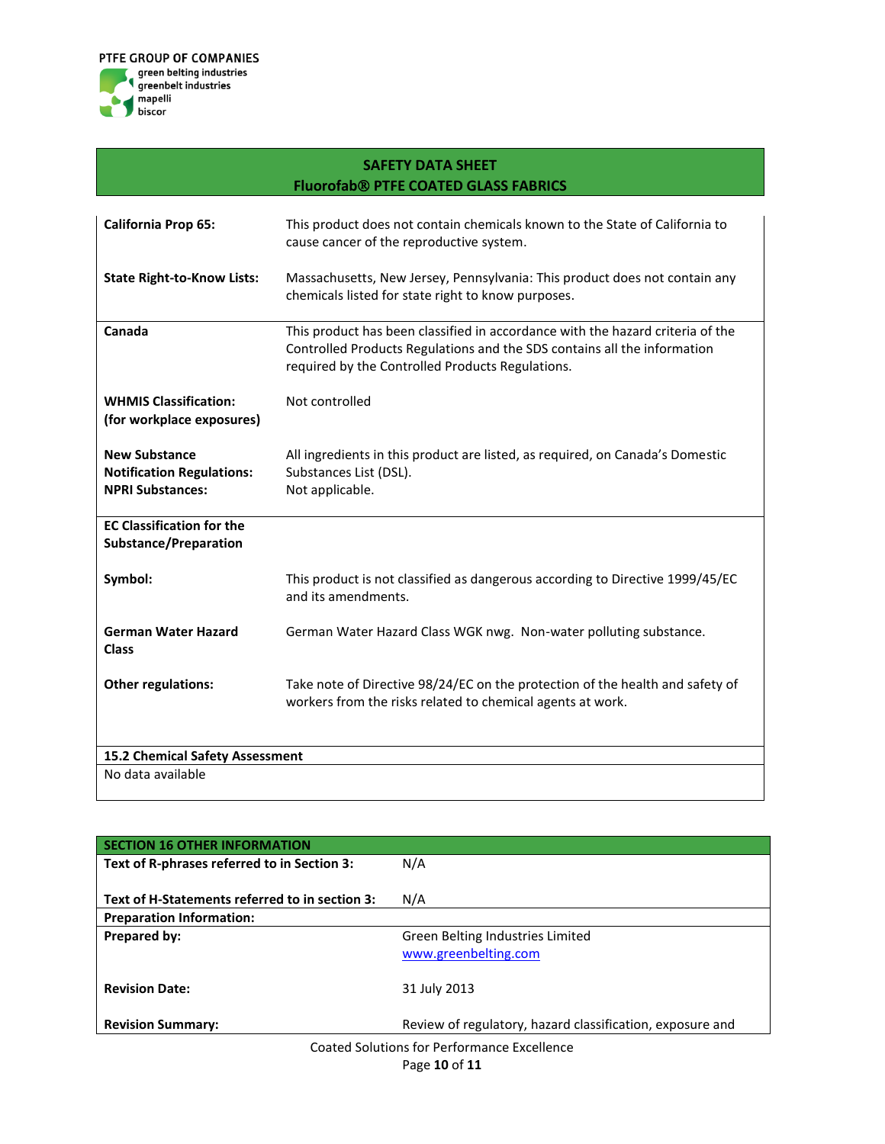

| <b>California Prop 65:</b>                                                          | This product does not contain chemicals known to the State of California to<br>cause cancer of the reproductive system.                                                                                        |  |  |  |
|-------------------------------------------------------------------------------------|----------------------------------------------------------------------------------------------------------------------------------------------------------------------------------------------------------------|--|--|--|
| <b>State Right-to-Know Lists:</b>                                                   | Massachusetts, New Jersey, Pennsylvania: This product does not contain any<br>chemicals listed for state right to know purposes.                                                                               |  |  |  |
| Canada                                                                              | This product has been classified in accordance with the hazard criteria of the<br>Controlled Products Regulations and the SDS contains all the information<br>required by the Controlled Products Regulations. |  |  |  |
| <b>WHMIS Classification:</b><br>(for workplace exposures)                           | Not controlled                                                                                                                                                                                                 |  |  |  |
| <b>New Substance</b><br><b>Notification Regulations:</b><br><b>NPRI Substances:</b> | All ingredients in this product are listed, as required, on Canada's Domestic<br>Substances List (DSL).<br>Not applicable.                                                                                     |  |  |  |
| <b>EC Classification for the</b><br>Substance/Preparation                           |                                                                                                                                                                                                                |  |  |  |
| Symbol:                                                                             | This product is not classified as dangerous according to Directive 1999/45/EC<br>and its amendments.                                                                                                           |  |  |  |
| <b>German Water Hazard</b><br><b>Class</b>                                          | German Water Hazard Class WGK nwg. Non-water polluting substance.                                                                                                                                              |  |  |  |
| Other regulations:                                                                  | Take note of Directive 98/24/EC on the protection of the health and safety of<br>workers from the risks related to chemical agents at work.                                                                    |  |  |  |
| 15.2 Chemical Safety Assessment                                                     |                                                                                                                                                                                                                |  |  |  |
| No data available                                                                   |                                                                                                                                                                                                                |  |  |  |

| <b>SECTION 16 OTHER INFORMATION</b>            |                                                           |  |  |  |
|------------------------------------------------|-----------------------------------------------------------|--|--|--|
| Text of R-phrases referred to in Section 3:    | N/A                                                       |  |  |  |
|                                                |                                                           |  |  |  |
| Text of H-Statements referred to in section 3: | N/A                                                       |  |  |  |
| <b>Preparation Information:</b>                |                                                           |  |  |  |
| Prepared by:                                   | Green Belting Industries Limited                          |  |  |  |
|                                                | www.greenbelting.com                                      |  |  |  |
|                                                |                                                           |  |  |  |
| <b>Revision Date:</b>                          | 31 July 2013                                              |  |  |  |
| <b>Revision Summary:</b>                       | Review of regulatory, hazard classification, exposure and |  |  |  |
| Coated Solutions for Performance Excellence    |                                                           |  |  |  |